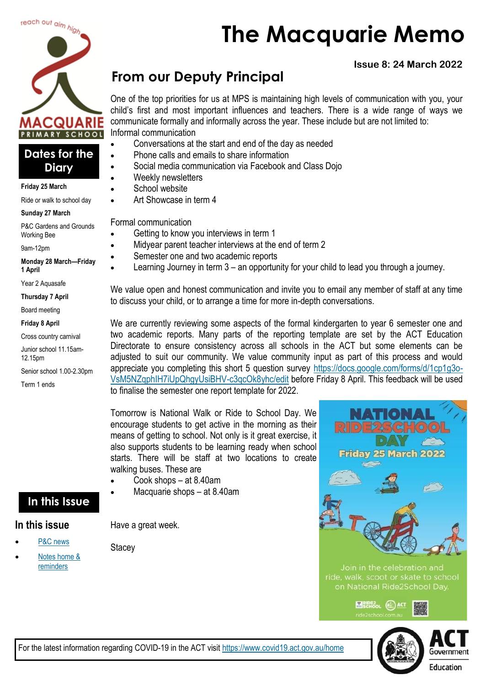

## **Dates for the Diary**

#### **Friday 25 March**

Ride or walk to school day

#### **Sunday 27 March**

P&C Gardens and Grounds Working Bee

9am-12pm

**Monday 28 March—Friday 1 April**

Year 2 Aquasafe

**Thursday 7 April**

Board meeting

**Friday 8 April**

Cross country carnival

Junior school 11.15am-12.15pm

Senior school 1.00-2.30pm

Term 1 ends

# **From our Deputy Principal**

One of the top priorities for us at MPS is maintaining high levels of communication with you, your child's first and most important influences and teachers. There is a wide range of ways we communicate formally and informally across the year. These include but are not limited to: Informal communication

- Conversations at the start and end of the day as needed
- Phone calls and emails to share information
- Social media communication via Facebook and Class Dojo
- Weekly newsletters
- School website
- Art Showcase in term 4

Formal communication

- Getting to know you interviews in term 1
- Midyear parent teacher interviews at the end of term 2
- Semester one and two academic reports
	- Learning Journey in term 3 an opportunity for your child to lead you through a journey.

We value open and honest communication and invite you to email any member of staff at any time to discuss your child, or to arrange a time for more in-depth conversations.

We are currently reviewing some aspects of the formal kindergarten to year 6 semester one and two academic reports. Many parts of the reporting template are set by the ACT Education Directorate to ensure consistency across all schools in the ACT but some elements can be adjusted to suit our community. We value community input as part of this process and would appreciate you completing this short 5 question survey [https://docs.google.com/forms/d/1cp1g3o-](https://docs.google.com/forms/d/1cp1g3o-VsM5NZqphIH7iUpQhgyUsiBHV-c3qcOk8yhc/edit)[VsM5NZqphIH7iUpQhgyUsiBHV-c3qcOk8yhc/edit](https://docs.google.com/forms/d/1cp1g3o-VsM5NZqphIH7iUpQhgyUsiBHV-c3qcOk8yhc/edit) before Friday 8 April. This feedback will be used to finalise the semester one report template for 2022.

Tomorrow is National Walk or Ride to School Day. We encourage students to get active in the morning as their means of getting to school. Not only is it great exercise, it also supports students to be learning ready when school starts. There will be staff at two locations to create walking buses. These are

- Cook shops at 8.40am
	- Macquarie shops at 8.40am

# **In this Issue**

## **In this issue**

- [P&C news](#page-1-0)
- Notes home & [reminders](#page-3-0)

Have a great week.

**Stacey** 







# **Issue 8: 24 March 2022**

**The Macquarie Memo**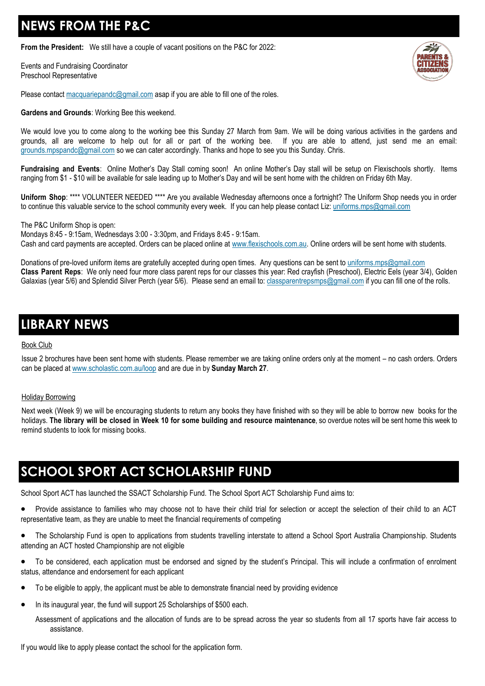# <span id="page-1-0"></span>**NEWS FROM THE P&C**

**From the President:** We still have a couple of vacant positions on the P&C for 2022:

Events and Fundraising Coordinator Preschool Representative



Please contact [macquariepandc@gmail.com](mailto:macquariepandc@gmail.com) asap if you are able to fill one of the roles.

**Gardens and Grounds**: Working Bee this weekend.

We would love you to come along to the working bee this Sunday 27 March from 9am. We will be doing various activities in the gardens and grounds, all are welcome to help out for all or part of the working bee. If you are able to attend, just send me an email: [grounds.mpspandc@gmail.com](mailto:grounds.mpspandc@gmail.com) so we can cater accordingly. Thanks and hope to see you this Sunday. Chris.

**Fundraising and Events**: Online Mother's Day Stall coming soon! An online Mother's Day stall will be setup on Flexischools shortly. Items ranging from \$1 - \$10 will be available for sale leading up to Mother's Day and will be sent home with the children on Friday 6th May.

**Uniform Shop**: \*\*\*\* VOLUNTEER NEEDED \*\*\*\* Are you available Wednesday afternoons once a fortnight? The Uniform Shop needs you in order to continue this valuable service to the school community every week. If you can help please contact Liz: [uniforms.mps@gmail.com](mailto:uniforms.mps@gmail.com)

The P&C Uniform Shop is open:

Mondays 8:45 - 9:15am, Wednesdays 3:00 - 3:30pm, and Fridays 8:45 - 9:15am. Cash and card payments are accepted. Orders can be placed online at [www.flexischools.com.au.](https://aus01.safelinks.protection.outlook.com/?url=http%3A%2F%2Fwww.flexischools.com.au%2F&data=04%7C01%7C%7C28f3d073d6604a793fcf08da08796a30%7Cf1d4a8326c2144759bf48cc7e9044a29%7C0%7C0%7C637831614815550009%7CUnknown%7CTWFpbGZsb3d8eyJWIjoiMC4wLjAwMDAiLCJQIjoi) Online orders will be sent home with students.

Donations of pre-loved uniform items are gratefully accepted during open times. Any questions can be sent to [uniforms.mps@gmail.com](mailto:uniforms.mps@gmail.com) **Class Parent Reps**: We only need four more class parent reps for our classes this year: Red crayfish (Preschool), Electric Eels (year 3/4), Golden Galaxias (year 5/6) and Splendid Silver Perch (year 5/6). Please send an email to: [classparentrepsmps@gmail.com](mailto:classparentrepsmps@gmail.com) if you can fill one of the rolls.

# **LIBRARY NEWS**

#### Book Club

Issue 2 brochures have been sent home with students. Please remember we are taking online orders only at the moment – no cash orders. Orders can be placed at [www.scholastic.com.au/loop](http://www.scholastic.com.au/loop) and are due in by **Sunday March 27**.

#### Holiday Borrowing

Next week (Week 9) we will be encouraging students to return any books they have finished with so they will be able to borrow new books for the holidays. **The library will be closed in Week 10 for some building and resource maintenance**, so overdue notes will be sent home this week to remind students to look for missing books.

# **SCHOOL SPORT ACT SCHOLARSHIP FUND**

School Sport ACT has launched the SSACT Scholarship Fund. The School Sport ACT Scholarship Fund aims to:

- Provide assistance to families who may choose not to have their child trial for selection or accept the selection of their child to an ACT representative team, as they are unable to meet the financial requirements of competing
- The Scholarship Fund is open to applications from students travelling interstate to attend a School Sport Australia Championship. Students attending an ACT hosted Championship are not eligible
- To be considered, each application must be endorsed and signed by the student's Principal. This will include a confirmation of enrolment status, attendance and endorsement for each applicant
- To be eligible to apply, the applicant must be able to demonstrate financial need by providing evidence
- In its inaugural year, the fund will support 25 Scholarships of \$500 each.

Assessment of applications and the allocation of funds are to be spread across the year so students from all 17 sports have fair access to assistance.

If you would like to apply please contact the school for the application form.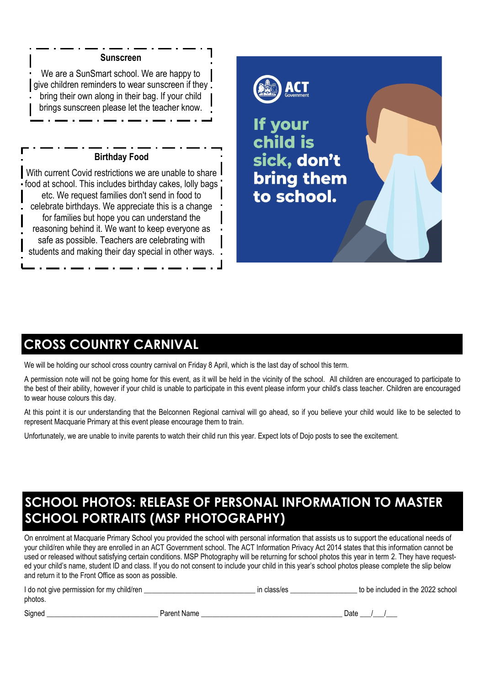## **Sunscreen**

We are a SunSmart school. We are happy to give children reminders to wear sunscreen if they bring their own along in their bag. If your child brings sunscreen please let the teacher know.

## **Birthday Food**

With current Covid restrictions we are unable to share food at school. This includes birthday cakes, lolly bags etc. We request families don't send in food to celebrate birthdays. We appreciate this is a change for families but hope you can understand the reasoning behind it. We want to keep everyone as safe as possible. Teachers are celebrating with students and making their day special in other ways.



## **CROSS COUNTRY CARNIVAL**

We will be holding our school cross country carnival on Friday 8 April, which is the last day of school this term.

A permission note will not be going home for this event, as it will be held in the vicinity of the school. All children are encouraged to participate to the best of their ability, however if your child is unable to participate in this event please inform your child's class teacher. Children are encouraged to wear house colours this day.

At this point it is our understanding that the Belconnen Regional carnival will go ahead, so if you believe your child would like to be selected to represent Macquarie Primary at this event please encourage them to train.

Unfortunately, we are unable to invite parents to watch their child run this year. Expect lots of Dojo posts to see the excitement.

# **SCHOOL PHOTOS: RELEASE OF PERSONAL INFORMATION TO MASTER SCHOOL PORTRAITS (MSP PHOTOGRAPHY)**

On enrolment at Macquarie Primary School you provided the school with personal information that assists us to support the educational needs of your child/ren while they are enrolled in an ACT Government school. The ACT Information Privacy Act 2014 states that this information cannot be used or released without satisfying certain conditions. MSP Photography will be returning for school photos this year in term 2. They have requested your child's name, student ID and class. If you do not consent to include your child in this year's school photos please complete the slip below and return it to the Front Office as soon as possible.

| I do not give permission for my child/ren |             | in class/es | to be included in the 2022 school |
|-------------------------------------------|-------------|-------------|-----------------------------------|
| photos.                                   |             |             |                                   |
| Signed                                    | Parent Name |             | Date                              |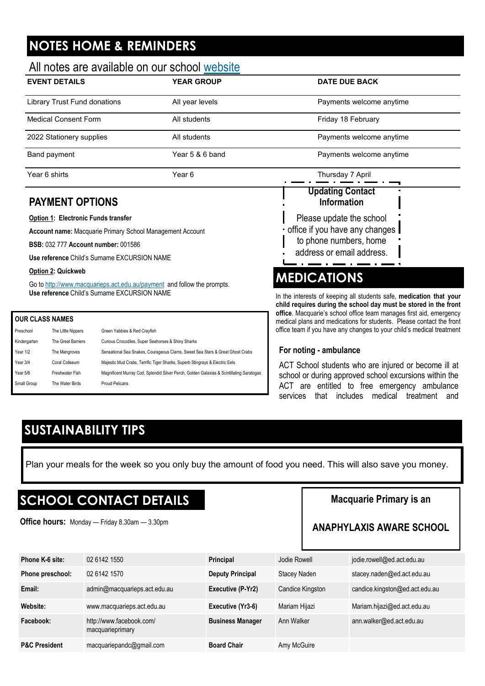# <span id="page-3-0"></span>**NOTES HOME & REMINDERS**

## All notes are available on our school [website](http://www.macquarieps.act.edu.au)

| <b>EVENT DETAILS</b>         | <b>YEAR GROUP</b> | <b>DATE DUE BACK</b>     |  |
|------------------------------|-------------------|--------------------------|--|
| Library Trust Fund donations | All year levels   | Payments welcome anytime |  |
| <b>Medical Consent Form</b>  | All students      | Friday 18 February       |  |
| 2022 Stationery supplies     | All students      | Payments welcome anytime |  |
| Band payment                 | Year 5 & 6 band   | Payments welcome anytime |  |
| Year 6 shirts                | Year 6            | Thursday 7 April         |  |
|                              |                   | <b>Updating Contact</b>  |  |

## **PAYMENT OPTIONS**

#### **Option 1: Electronic Funds transfer**

**Account name:** Macquarie Primary School Management Account

**BSB:** 032 777 **Account number:** 001586

**Use reference** Child's Surname EXCURSION NAME

#### **Option 2: Quickweb**

Go to <http://www.macquarieps.act.edu.au/payment>and follow the prompts. **Use reference** Child's Surname EXCURSION NAME

#### **OUR CLASS NAMES**

| Preschool    | The Little Nippers | Green Yabbies & Red Crayfish                                                             |
|--------------|--------------------|------------------------------------------------------------------------------------------|
| Kindergarten | The Great Barriers | Curious Crocodiles, Super Seahorses & Shiny Sharks                                       |
| Year 1/2     | The Mangroves      | Sensational Sea Snakes, Courageous Clams, Sweet Sea Stars & Great Ghost Crabs            |
| Year 3/4     | Coral Coliseum     | Majestic Mud Crabs, Terrific Tiger Sharks, Superb Stingrays & Electric Eels              |
| Year 5/6     | Freshwater Fish    | Magnificent Murray Cod, Splendid Silver Perch, Golden Galaxias & Scintillating Saratogas |
| Small Group  | The Water Birds    | Proud Pelicans                                                                           |
|              |                    |                                                                                          |

# **MEDICATIONS**

**Information**

Please update the school • office if you have any changes to phone numbers, home address or email address.

In the interests of keeping all students safe, **medication that your child requires during the school day must be stored in the front office**. Macquarie's school office team manages first aid, emergency medical plans and medications for students. Please contact the front office team if you have any changes to your child's medical treatment

### **For noting - ambulance**

ACT School students who are injured or become ill at school or during approved school excursions within the ACT are entitled to free emergency ambulance services that includes medical treatment and

# **SUSTAINABILITY TIPS**

Plan your meals for the week so you only buy the amount of food you need. This will also save you money.

# **SCHOOL CONTACT DETAILS**

**Office hours:** Monday — Friday 8.30am — 3.30pm

## **Macquarie Primary is an**

## **ANAPHYLAXIS AWARE SCHOOL**

| Phone K-6 site:          | 02 6142 1550                                 | <b>Principal</b>        | Jodie Rowell     | jodie.rowell@ed.act.edu.au     |
|--------------------------|----------------------------------------------|-------------------------|------------------|--------------------------------|
| Phone preschool:         | 02 6142 1570                                 | <b>Deputy Principal</b> | Stacey Naden     | stacey.naden@ed.act.edu.au     |
| Email:                   | admin@macquarieps.act.edu.au                 | Executive (P-Yr2)       | Candice Kingston | candice.kingston@ed.act.edu.au |
| Website:                 | www.macquarieps.act.edu.au                   | Executive (Yr3-6)       | Mariam Hijazi    | Mariam.hijazi@ed.act.edu.au    |
| Facebook:                | http://www.facebook.com/<br>macquarieprimary | <b>Business Manager</b> | Ann Walker       | ann.walker@ed.act.edu.au       |
| <b>P&amp;C President</b> | macquariepandc@gmail.com                     | <b>Board Chair</b>      | Amy McGuire      |                                |